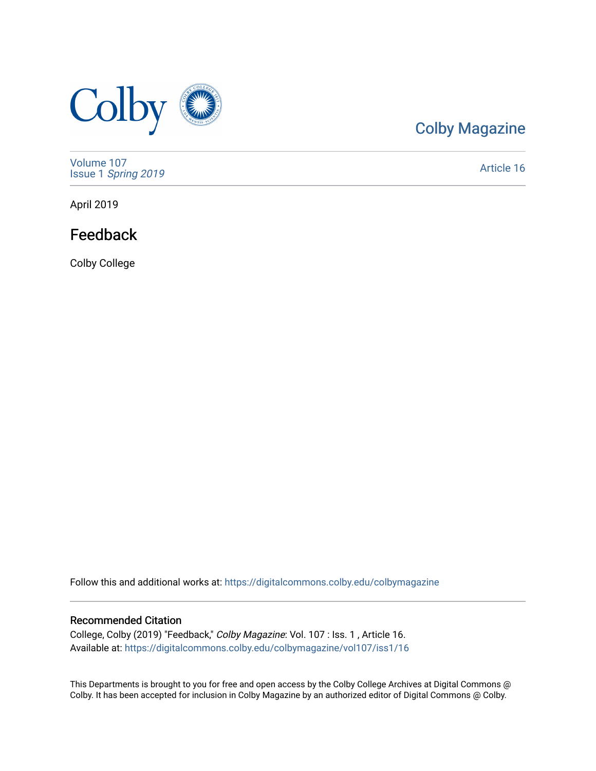

## [Colby Magazine](https://digitalcommons.colby.edu/colbymagazine)

[Volume 107](https://digitalcommons.colby.edu/colbymagazine/vol107) Issue 1 [Spring 2019](https://digitalcommons.colby.edu/colbymagazine/vol107/iss1) 

[Article 16](https://digitalcommons.colby.edu/colbymagazine/vol107/iss1/16) 

April 2019

### Feedback

Colby College

Follow this and additional works at: [https://digitalcommons.colby.edu/colbymagazine](https://digitalcommons.colby.edu/colbymagazine?utm_source=digitalcommons.colby.edu%2Fcolbymagazine%2Fvol107%2Fiss1%2F16&utm_medium=PDF&utm_campaign=PDFCoverPages)

#### Recommended Citation

College, Colby (2019) "Feedback," Colby Magazine: Vol. 107 : Iss. 1 , Article 16. Available at: [https://digitalcommons.colby.edu/colbymagazine/vol107/iss1/16](https://digitalcommons.colby.edu/colbymagazine/vol107/iss1/16?utm_source=digitalcommons.colby.edu%2Fcolbymagazine%2Fvol107%2Fiss1%2F16&utm_medium=PDF&utm_campaign=PDFCoverPages)

This Departments is brought to you for free and open access by the Colby College Archives at Digital Commons @ Colby. It has been accepted for inclusion in Colby Magazine by an authorized editor of Digital Commons @ Colby.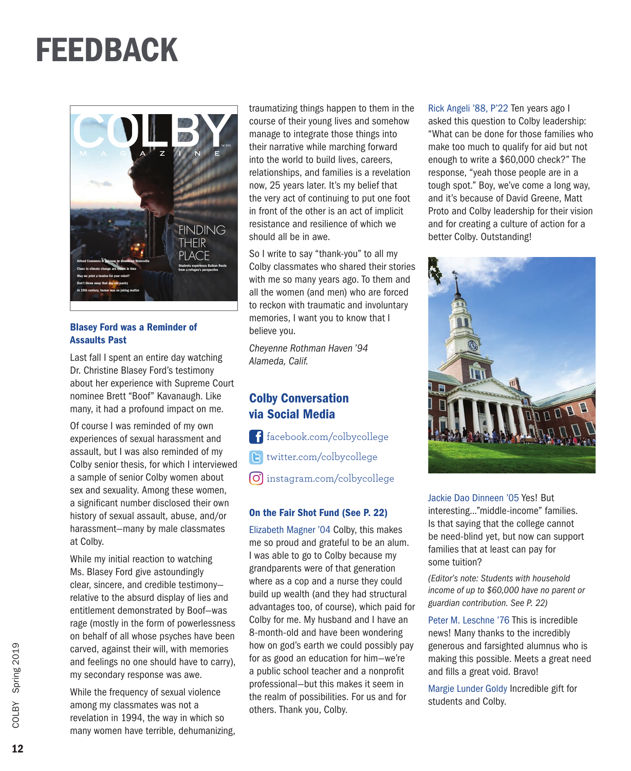## FEEDBACK



#### Blasey Ford was a Reminder of Assaults Past

Last fall I spent an entire day watching Dr. Christine Blasey Ford's testimony about her experience with Supreme Court nominee Brett "Boof" Kavanaugh. Like many, it had a profound impact on me.

Of course I was reminded of my own experiences of sexual harassment and assault, but I was also reminded of my Colby senior thesis, for which I interviewed a sample of senior Colby women about sex and sexuality. Among these women, a significant number disclosed their own history of sexual assault, abuse, and/or harassment—many by male classmates at Colby.

While my initial reaction to watching Ms. Blasey Ford give astoundingly clear, sincere, and credible testimony relative to the absurd display of lies and entitlement demonstrated by Boof—was rage (mostly in the form of powerlessness on behalf of all whose psyches have been carved, against their will, with memories and feelings no one should have to carry), my secondary response was awe.

While the frequency of sexual violence among my classmates was not a revelation in 1994, the way in which so many women have terrible, dehumanizing, traumatizing things happen to them in the course of their young lives and somehow manage to integrate those things into their narrative while marching forward into the world to build lives, careers, relationships, and families is a revelation now, 25 years later. It's my belief that the very act of continuing to put one foot in front of the other is an act of implicit resistance and resilience of which we should all be in awe.

So I write to say "thank-you" to all my Colby classmates who shared their stories with me so many years ago. To them and all the women (and men) who are forced to reckon with traumatic and involuntary memories, I want you to know that I believe you.

*Cheyenne Rothman Haven '94 Alameda, Calif.*

### Colby Conversation via Social Media

- f facebook.com/colbycollege
- twitter.com/colbycollege
- O instagram.com/colbycollege

#### On the Fair Shot Fund (See P. 22)

Elizabeth Magner '04 Colby, this makes me so proud and grateful to be an alum. I was able to go to Colby because my grandparents were of that generation where as a cop and a nurse they could build up wealth (and they had structural advantages too, of course), which paid for Colby for me. My husband and I have an 8-month-old and have been wondering how on god's earth we could possibly pay for as good an education for him—we're a public school teacher and a nonprofit professional—but this makes it seem in the realm of possibilities. For us and for others. Thank you, Colby.

Rick Angeli '88, P'22 Ten years ago I asked this question to Colby leadership: "What can be done for those families who make too much to qualify for aid but not enough to write a \$60,000 check?" The response, "yeah those people are in a tough spot." Boy, we've come a long way, and it's because of David Greene, Matt Proto and Colby leadership for their vision and for creating a culture of action for a better Colby. Outstanding!



Jackie Dao Dinneen '05 Yes! But interesting..."middle-income" families. Is that saying that the college cannot be need-blind yet, but now can support families that at least can pay for some tuition?

*(Editor's note: Students with household income of up to \$60,000 have no parent or guardian contribution. See P. 22)*

Peter M. Leschne '76 This is incredible news! Many thanks to the incredibly generous and farsighted alumnus who is making this possible. Meets a great need and fills a great void. Bravo!

Margie Lunder Goldy Incredible gift for students and Colby.

12